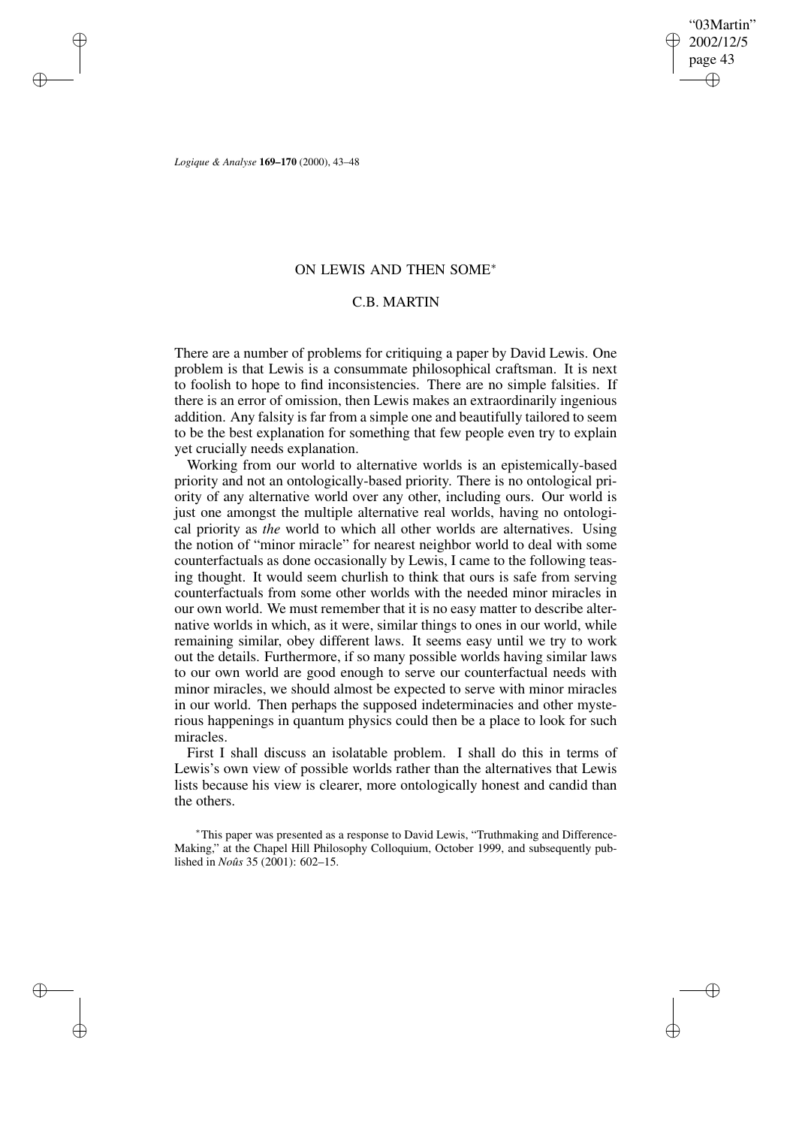"03Martin" 2002/12/5 page 43 ✐ ✐

✐

✐

*Logique & Analyse* **169–170** (2000), 43–48

✐

✐

✐

✐

## ON LEWIS AND THEN SOME<sup>∗</sup>

# C.B. MARTIN

There are a number of problems for critiquing a paper by David Lewis. One problem is that Lewis is a consummate philosophical craftsman. It is next to foolish to hope to find inconsistencies. There are no simple falsities. If there is an error of omission, then Lewis makes an extraordinarily ingenious addition. Any falsity is far from a simple one and beautifully tailored to seem to be the best explanation for something that few people even try to explain yet crucially needs explanation.

Working from our world to alternative worlds is an epistemically-based priority and not an ontologically-based priority. There is no ontological priority of any alternative world over any other, including ours. Our world is just one amongst the multiple alternative real worlds, having no ontological priority as *the* world to which all other worlds are alternatives. Using the notion of "minor miracle" for nearest neighbor world to deal with some counterfactuals as done occasionally by Lewis, I came to the following teasing thought. It would seem churlish to think that ours is safe from serving counterfactuals from some other worlds with the needed minor miracles in our own world. We must remember that it is no easy matter to describe alternative worlds in which, as it were, similar things to ones in our world, while remaining similar, obey different laws. It seems easy until we try to work out the details. Furthermore, if so many possible worlds having similar laws to our own world are good enough to serve our counterfactual needs with minor miracles, we should almost be expected to serve with minor miracles in our world. Then perhaps the supposed indeterminacies and other mysterious happenings in quantum physics could then be a place to look for such miracles.

First I shall discuss an isolatable problem. I shall do this in terms of Lewis's own view of possible worlds rather than the alternatives that Lewis lists because his view is clearer, more ontologically honest and candid than the others.

<sup>∗</sup>This paper was presented as a response to David Lewis, "Truthmaking and Difference-Making," at the Chapel Hill Philosophy Colloquium, October 1999, and subsequently published in *Noûs* 35 (2001): 602–15.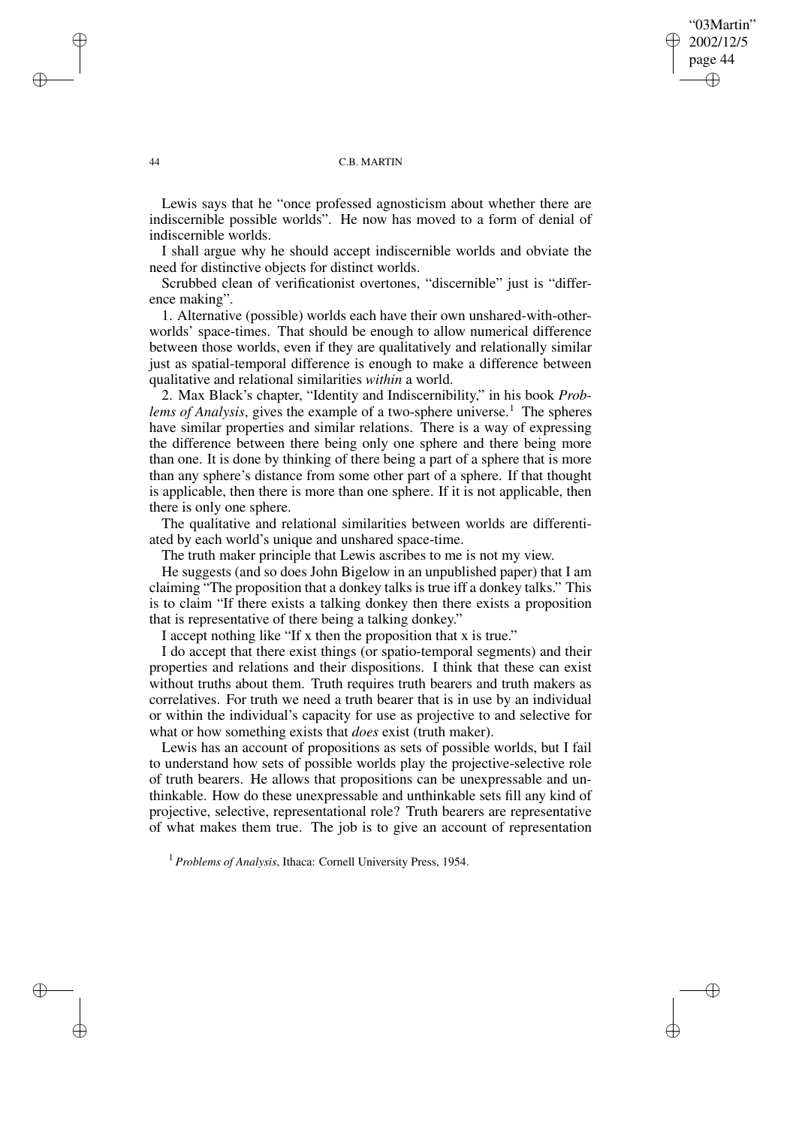"03Martin" 2002/12/5 page 44 ✐ ✐

✐

✐

### 44 C.B. MARTIN

Lewis says that he "once professed agnosticism about whether there are indiscernible possible worlds". He now has moved to a form of denial of indiscernible worlds.

I shall argue why he should accept indiscernible worlds and obviate the need for distinctive objects for distinct worlds.

Scrubbed clean of verificationist overtones, "discernible" just is "difference making".

1. Alternative (possible) worlds each have their own unshared-with-otherworlds' space-times. That should be enough to allow numerical difference between those worlds, even if they are qualitatively and relationally similar just as spatial-temporal difference is enough to make a difference between qualitative and relational similarities *within* a world.

2. Max Black's chapter, "Identity and Indiscernibility," in his book *Problems of Analysis*, gives the example of a two-sphere universe.<sup>1</sup> The spheres have similar properties and similar relations. There is a way of expressing the difference between there being only one sphere and there being more than one. It is done by thinking of there being a part of a sphere that is more than any sphere's distance from some other part of a sphere. If that thought is applicable, then there is more than one sphere. If it is not applicable, then there is only one sphere.

The qualitative and relational similarities between worlds are differentiated by each world's unique and unshared space-time.

The truth maker principle that Lewis ascribes to me is not my view.

He suggests (and so does John Bigelow in an unpublished paper) that I am claiming "The proposition that a donkey talks is true iff a donkey talks." This is to claim "If there exists a talking donkey then there exists a proposition that is representative of there being a talking donkey."

I accept nothing like "If x then the proposition that x is true."

I do accept that there exist things (or spatio-temporal segments) and their properties and relations and their dispositions. I think that these can exist without truths about them. Truth requires truth bearers and truth makers as correlatives. For truth we need a truth bearer that is in use by an individual or within the individual's capacity for use as projective to and selective for what or how something exists that *does* exist (truth maker).

Lewis has an account of propositions as sets of possible worlds, but I fail to understand how sets of possible worlds play the projective-selective role of truth bearers. He allows that propositions can be unexpressable and unthinkable. How do these unexpressable and unthinkable sets fill any kind of projective, selective, representational role? Truth bearers are representative of what makes them true. The job is to give an account of representation

<sup>1</sup> *Problems of Analysis*, Ithaca: Cornell University Press, 1954.

✐

✐

✐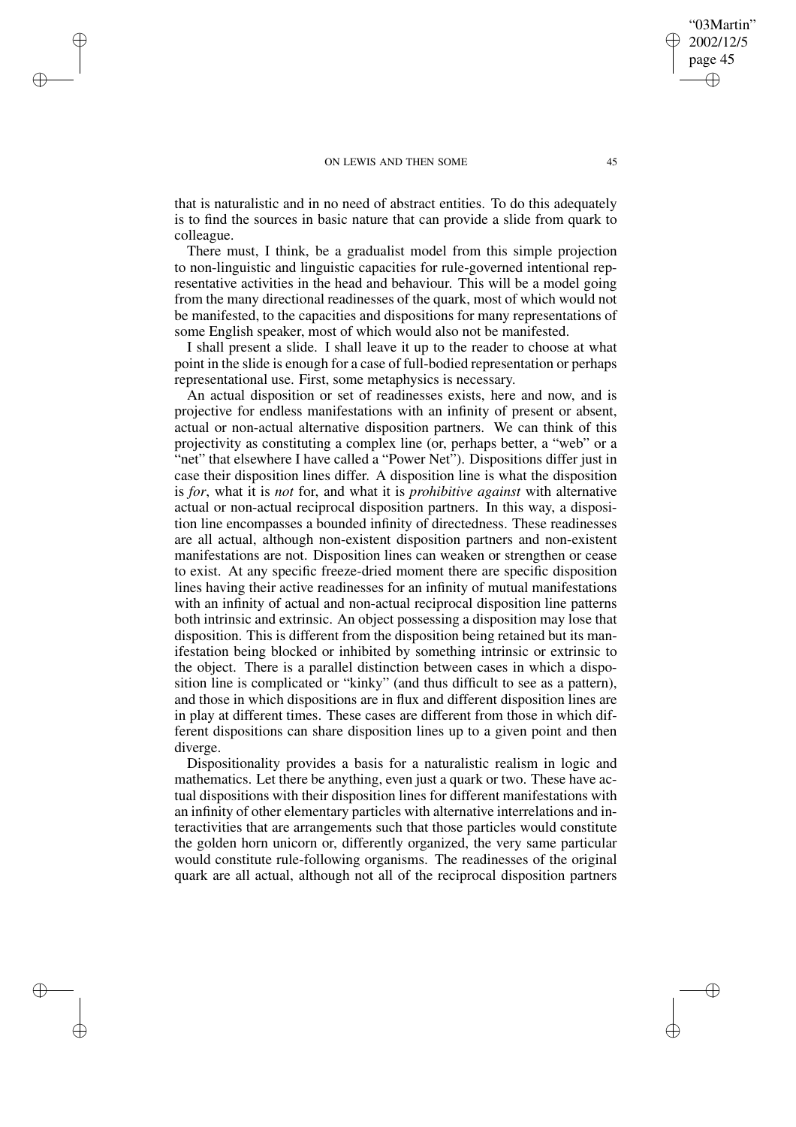### ON LEWIS AND THEN SOME 45

✐

✐

✐

✐

that is naturalistic and in no need of abstract entities. To do this adequately is to find the sources in basic nature that can provide a slide from quark to colleague.

There must, I think, be a gradualist model from this simple projection to non-linguistic and linguistic capacities for rule-governed intentional representative activities in the head and behaviour. This will be a model going from the many directional readinesses of the quark, most of which would not be manifested, to the capacities and dispositions for many representations of some English speaker, most of which would also not be manifested.

I shall present a slide. I shall leave it up to the reader to choose at what point in the slide is enough for a case of full-bodied representation or perhaps representational use. First, some metaphysics is necessary.

An actual disposition or set of readinesses exists, here and now, and is projective for endless manifestations with an infinity of present or absent, actual or non-actual alternative disposition partners. We can think of this projectivity as constituting a complex line (or, perhaps better, a "web" or a "net" that elsewhere I have called a "Power Net"). Dispositions differ just in case their disposition lines differ. A disposition line is what the disposition is *for*, what it is *not* for, and what it is *prohibitive against* with alternative actual or non-actual reciprocal disposition partners. In this way, a disposition line encompasses a bounded infinity of directedness. These readinesses are all actual, although non-existent disposition partners and non-existent manifestations are not. Disposition lines can weaken or strengthen or cease to exist. At any specific freeze-dried moment there are specific disposition lines having their active readinesses for an infinity of mutual manifestations with an infinity of actual and non-actual reciprocal disposition line patterns both intrinsic and extrinsic. An object possessing a disposition may lose that disposition. This is different from the disposition being retained but its manifestation being blocked or inhibited by something intrinsic or extrinsic to the object. There is a parallel distinction between cases in which a disposition line is complicated or "kinky" (and thus difficult to see as a pattern), and those in which dispositions are in flux and different disposition lines are in play at different times. These cases are different from those in which different dispositions can share disposition lines up to a given point and then diverge.

Dispositionality provides a basis for a naturalistic realism in logic and mathematics. Let there be anything, even just a quark or two. These have actual dispositions with their disposition lines for different manifestations with an infinity of other elementary particles with alternative interrelations and interactivities that are arrangements such that those particles would constitute the golden horn unicorn or, differently organized, the very same particular would constitute rule-following organisms. The readinesses of the original quark are all actual, although not all of the reciprocal disposition partners

"03Martin" 2002/12/5 page 45

✐

✐

✐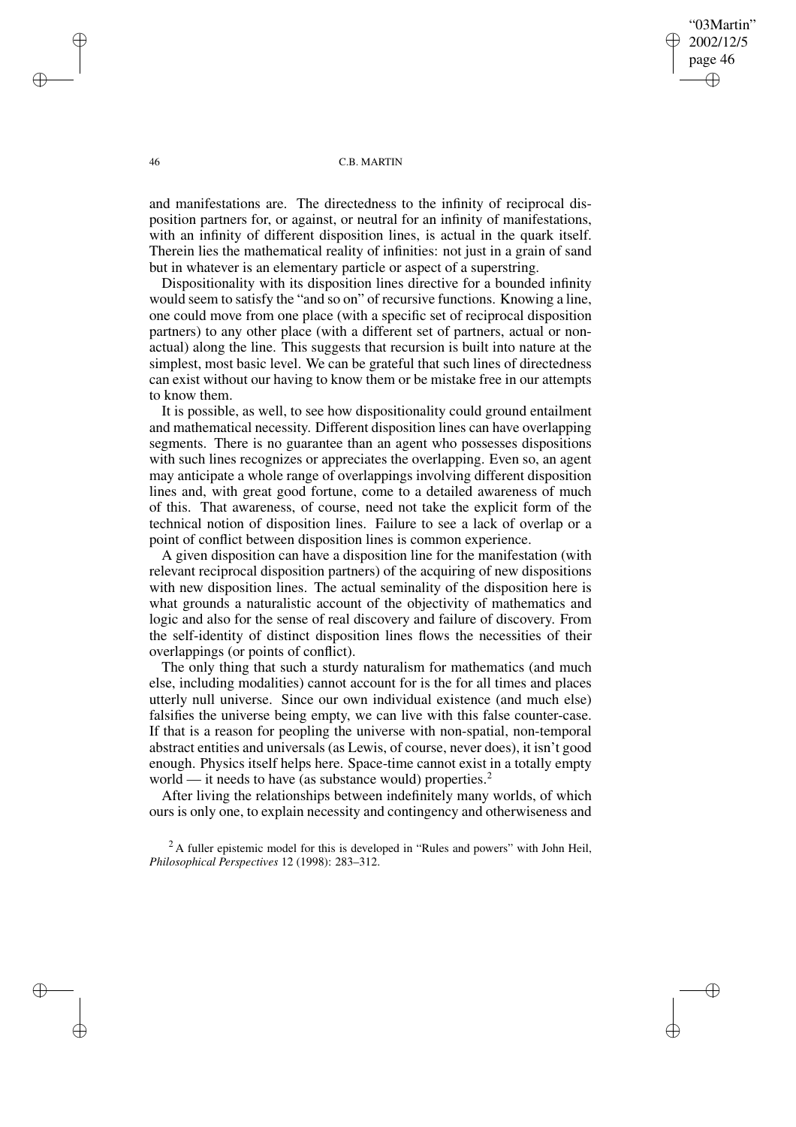"03Martin" 2002/12/5 page 46 ✐ ✐

✐

✐

### 46 C.B. MARTIN

and manifestations are. The directedness to the infinity of reciprocal disposition partners for, or against, or neutral for an infinity of manifestations, with an infinity of different disposition lines, is actual in the quark itself. Therein lies the mathematical reality of infinities: not just in a grain of sand but in whatever is an elementary particle or aspect of a superstring.

Dispositionality with its disposition lines directive for a bounded infinity would seem to satisfy the "and so on" of recursive functions. Knowing a line, one could move from one place (with a specific set of reciprocal disposition partners) to any other place (with a different set of partners, actual or nonactual) along the line. This suggests that recursion is built into nature at the simplest, most basic level. We can be grateful that such lines of directedness can exist without our having to know them or be mistake free in our attempts to know them.

It is possible, as well, to see how dispositionality could ground entailment and mathematical necessity. Different disposition lines can have overlapping segments. There is no guarantee than an agent who possesses dispositions with such lines recognizes or appreciates the overlapping. Even so, an agent may anticipate a whole range of overlappings involving different disposition lines and, with great good fortune, come to a detailed awareness of much of this. That awareness, of course, need not take the explicit form of the technical notion of disposition lines. Failure to see a lack of overlap or a point of conflict between disposition lines is common experience.

A given disposition can have a disposition line for the manifestation (with relevant reciprocal disposition partners) of the acquiring of new dispositions with new disposition lines. The actual seminality of the disposition here is what grounds a naturalistic account of the objectivity of mathematics and logic and also for the sense of real discovery and failure of discovery. From the self-identity of distinct disposition lines flows the necessities of their overlappings (or points of conflict).

The only thing that such a sturdy naturalism for mathematics (and much else, including modalities) cannot account for is the for all times and places utterly null universe. Since our own individual existence (and much else) falsifies the universe being empty, we can live with this false counter-case. If that is a reason for peopling the universe with non-spatial, non-temporal abstract entities and universals (as Lewis, of course, never does), it isn't good enough. Physics itself helps here. Space-time cannot exist in a totally empty world — it needs to have (as substance would) properties.<sup>2</sup>

After living the relationships between indefinitely many worlds, of which ours is only one, to explain necessity and contingency and otherwiseness and

<sup>2</sup>A fuller epistemic model for this is developed in "Rules and powers" with John Heil, *Philosophical Perspectives* 12 (1998): 283–312.

✐

✐

✐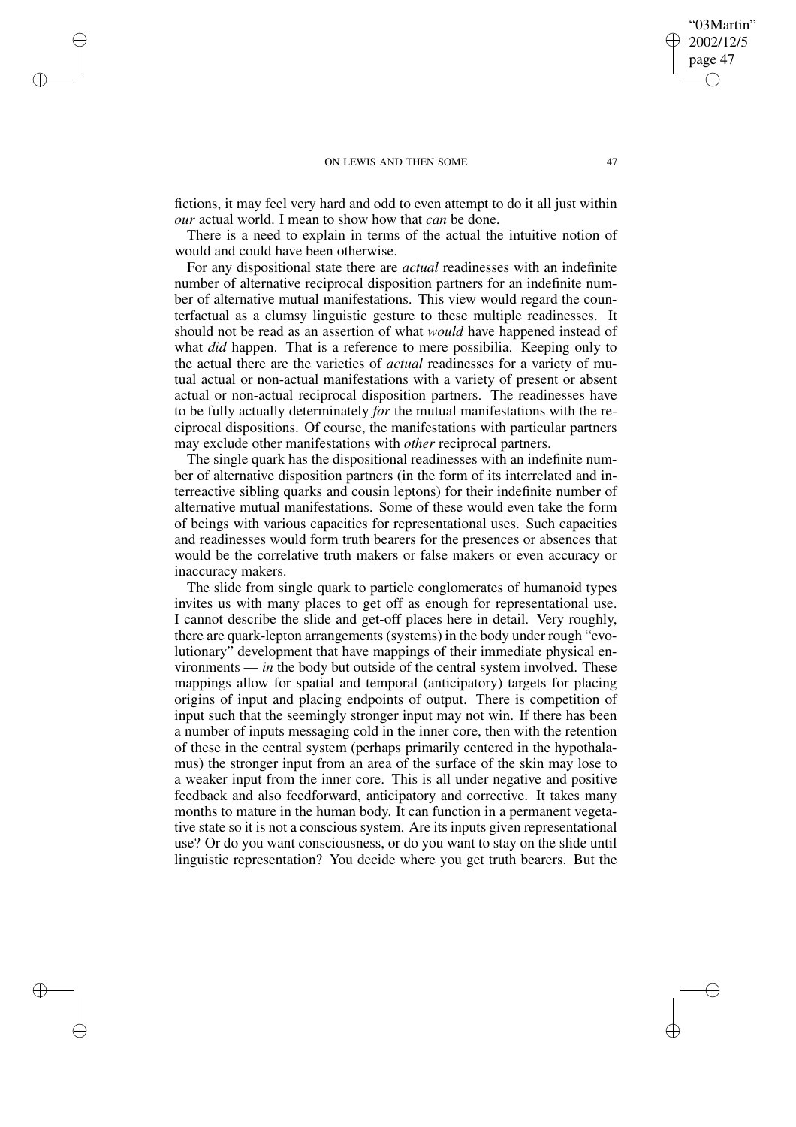### ON LEWIS AND THEN SOME 47

✐

✐

✐

✐

fictions, it may feel very hard and odd to even attempt to do it all just within *our* actual world. I mean to show how that *can* be done.

There is a need to explain in terms of the actual the intuitive notion of would and could have been otherwise.

For any dispositional state there are *actual* readinesses with an indefinite number of alternative reciprocal disposition partners for an indefinite number of alternative mutual manifestations. This view would regard the counterfactual as a clumsy linguistic gesture to these multiple readinesses. It should not be read as an assertion of what *would* have happened instead of what *did* happen. That is a reference to mere possibilia. Keeping only to the actual there are the varieties of *actual* readinesses for a variety of mutual actual or non-actual manifestations with a variety of present or absent actual or non-actual reciprocal disposition partners. The readinesses have to be fully actually determinately *for* the mutual manifestations with the reciprocal dispositions. Of course, the manifestations with particular partners may exclude other manifestations with *other* reciprocal partners.

The single quark has the dispositional readinesses with an indefinite number of alternative disposition partners (in the form of its interrelated and interreactive sibling quarks and cousin leptons) for their indefinite number of alternative mutual manifestations. Some of these would even take the form of beings with various capacities for representational uses. Such capacities and readinesses would form truth bearers for the presences or absences that would be the correlative truth makers or false makers or even accuracy or inaccuracy makers.

The slide from single quark to particle conglomerates of humanoid types invites us with many places to get off as enough for representational use. I cannot describe the slide and get-off places here in detail. Very roughly, there are quark-lepton arrangements (systems) in the body under rough "evolutionary" development that have mappings of their immediate physical environments — *in* the body but outside of the central system involved. These mappings allow for spatial and temporal (anticipatory) targets for placing origins of input and placing endpoints of output. There is competition of input such that the seemingly stronger input may not win. If there has been a number of inputs messaging cold in the inner core, then with the retention of these in the central system (perhaps primarily centered in the hypothalamus) the stronger input from an area of the surface of the skin may lose to a weaker input from the inner core. This is all under negative and positive feedback and also feedforward, anticipatory and corrective. It takes many months to mature in the human body. It can function in a permanent vegetative state so it is not a conscious system. Are its inputs given representational use? Or do you want consciousness, or do you want to stay on the slide until linguistic representation? You decide where you get truth bearers. But the

"03Martin" 2002/12/5 page 47

✐

✐

✐